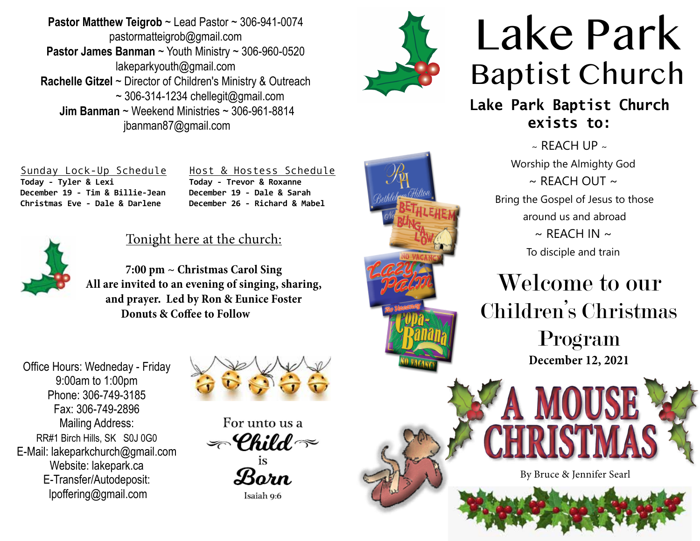**Pastor Matthew Teigrob** ~ Lead Pastor ~ 306-941-0074 pastormatteigrob@gmail.com **Pastor James Banman** ~ Youth Ministry ~ 306-960-0520 lakeparkyouth@gmail.com **Rachelle Gitzel** ~ Director of Children's Ministry & Outreach  $\sim$  306-314-1234 chellegit@gmail.com  **Jim Banman** ~ Weekend Ministries ~ 306-961-8814 jbanman87@gmail.com



# Lake Park Baptist Church

**Lake Park Baptist Church exists to:**

> $\sim$  RFACH UP  $\sim$ Worship the Almighty God  $\sim$  RFACH OUT  $\sim$ Bring the Gospel of Jesus to those around us and abroad  $\sim$  REACH IN  $\sim$ To disciple and train

Welcome to our Children's Christmas

> Program **December 12, 2021**

By Bruce & Jennifer Searl

Sunday Lock-Up Schedule **Today - Tyler & Lexi December 19 - Tim & Billie-Jean Christmas Eve - Dale & Darlene** 

Host & Hostess Schedule **Today - Trevor & Roxanne December 19 - Dale & Sarah December 26 - Richard & Mabel** 



## Tonight here at the church:

**7:00 pm ~ Christmas Carol Sing All are invited to an evening of singing, sharing, and prayer. Led by Ron & Eunice Foster Donuts & Coffee to Follow**

Office Hours: Wedneday - Friday 9:00am to 1:00pm Phone: 306-749-3185 Fax: 306-749-2896 Mailing Address: RR#1 Birch Hills, SK S0J 0G0 E-Mail: lakeparkchurch@gmail.com Website: lakepark.ca E-Transfer/Autodeposit: lpoffering@gmail.com



For unto us a  $\textcolor{black}{\mathcal{L}\text{-}\mathcal{C}}$ hild  $\textcolor{black}{\approx}$